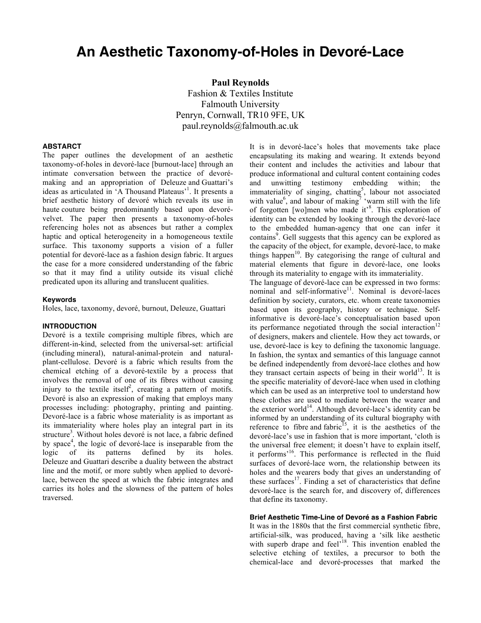# **An Aesthetic Taxonomy-of-Holes in Devoré-Lace**

**Paul Reynolds** Fashion & Textiles Institute Falmouth University Penryn, Cornwall, TR10 9FE, UK paul.reynolds@falmouth.ac.uk

#### **ABSTARCT**

The paper outlines the development of an aesthetic taxonomy-of-holes in devoré-lace [burnout-lace] through an intimate conversation between the practice of devorémaking and an appropriation of Deleuze and Guattari's ideas as articulated in 'A Thousand Plateaus'<sup>1</sup>. It presents a brief aesthetic history of devoré which reveals its use in haute couture being predominantly based upon devorévelvet. The paper then presents a taxonomy-of-holes referencing holes not as absences but rather a complex haptic and optical heterogeneity in a homogeneous textile surface. This taxonomy supports a vision of a fuller potential for devoré-lace as a fashion design fabric. It argues the case for a more considered understanding of the fabric so that it may find a utility outside its visual cliché predicated upon its alluring and translucent qualities.

### **Keywords**

Holes, lace, taxonomy, devoré, burnout, Deleuze, Guattari

#### **INTRODUCTION**

Devoré is a textile comprising multiple fibres, which are different-in-kind, selected from the universal-set: artificial (including mineral), natural-animal-protein and naturalplant-cellulose. Devoré is a fabric which results from the chemical etching of a devoré-textile by a process that involves the removal of one of its fibres without causing injury to the textile itself<sup>2</sup>, creating a pattern of motifs. Devoré is also an expression of making that employs many processes including: photography, printing and painting. Devoré-lace is a fabric whose materiality is as important as its immateriality where holes play an integral part in its structure<sup>3</sup>. Without holes devoré is not lace, a fabric defined by space<sup>4</sup>, the logic of devoré-lace is inseparable from the logic of its patterns defined by its holes. Deleuze and Guattari describe a duality between the abstract line and the motif, or more subtly when applied to devorélace, between the speed at which the fabric integrates and carries its holes and the slowness of the pattern of holes traversed.

It is in devoré-lace's holes that movements take place encapsulating its making and wearing. It extends beyond their content and includes the activities and labour that produce informational and cultural content containing codes and unwitting testimony embedding within; the immateriality of singing, chatting<sup>5</sup>, labour not associated with value<sup>6</sup>, and labour of making<sup>7</sup> 'warm still with the life of forgotten [wo]men who made it<sup>3</sup>. This exploration of identity can be extended by looking through the devoré-lace to the embedded human-agency that one can infer it contains<sup>9</sup>. Gell suggests that this agency can be explored as the capacity of the object, for example, devoré-lace, to make things happen<sup>10</sup>. By categorising the range of cultural and material elements that figure in devoré-lace, one looks through its materiality to engage with its immateriality.

The language of devoré-lace can be expressed in two forms: nominal and self-informative $11$ . Nominal is devoré-laces definition by society, curators, etc. whom create taxonomies based upon its geography, history or technique. Selfinformative is devoré-lace's conceptualisation based upon its performance negotiated through the social interaction<sup>12</sup> of designers, makers and clientele. How they act towards, or use, devoré-lace is key to defining the taxonomic language. In fashion, the syntax and semantics of this language cannot be defined independently from devoré-lace clothes and how they transact certain aspects of being in their world<sup>13</sup>. It is the specific materiality of devoré-lace when used in clothing which can be used as an interpretive tool to understand how these clothes are used to mediate between the wearer and the exterior world<sup>14</sup>. Although devoré-lace's identity can be informed by an understanding of its cultural biography with reference to fibre and fabric<sup>15</sup>, it is the aesthetics of the devoré-lace's use in fashion that is more important, 'cloth is the universal free element; it doesn't have to explain itself, it performs'16. This performance is reflected in the fluid surfaces of devoré-lace worn, the relationship between its holes and the wearers body that gives an understanding of these surfaces $17$ . Finding a set of characteristics that define devoré-lace is the search for, and discovery of, differences that define its taxonomy.

#### **Brief Aesthetic Time-Line of Devoré as a Fashion Fabric**

It was in the 1880s that the first commercial synthetic fibre, artificial-silk, was produced, having a 'silk like aesthetic with superb drape and feel'<sup>18</sup>. This invention enabled the selective etching of textiles, a precursor to both the chemical-lace and devoré-processes that marked the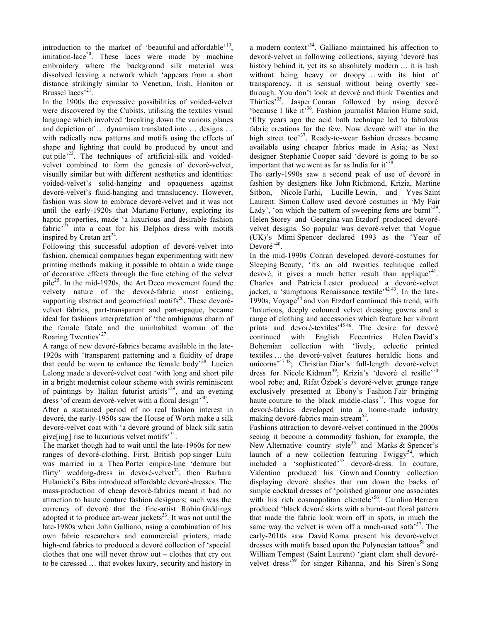introduction to the market of 'beautiful and affordable'<sup>19</sup>, imitation-lace<sup>20</sup>. These laces were made by machine embroidery where the background silk material was dissolved leaving a network which 'appears from a short distance strikingly similar to Venetian, Irish, Honiton or Brussel laces<sup>21</sup>.

In the 1900s the expressive possibilities of voided-velvet were discovered by the Cubists, utilising the textiles visual language which involved 'breaking down the various planes and depiction of … dynamism translated into … designs … with radically new patterns and motifs using the effects of shape and lighting that could be produced by uncut and cut pile $^{22}$ . The techniques of artificial-silk and voidedvelvet combined to form the genesis of devoré-velvet, visually similar but with different aesthetics and identities: voided-velvet's solid-hanging and opaqueness against devoré-velvet's fluid-hanging and translucency. However, fashion was slow to embrace devoré-velvet and it was not until the early-1920s that Mariano Fortuny, exploring its haptic properties, made 'a luxurious and desirable fashion fabric<sup> $2^3$ </sup> into a coat for his Delphos dress with motifs inspired by Cretan  $art^{24}$ .

Following this successful adoption of devoré-velvet into fashion, chemical companies began experimenting with new printing methods making it possible to obtain a wide range of decorative effects through the fine etching of the velvet pile25. In the mid-1920s, the Art Deco movement found the velvety nature of the devoré-fabric most enticing, supporting abstract and geometrical motifs $26$ . These devorévelvet fabrics, part-transparent and part-opaque, became ideal for fashions interpretation of 'the ambiguous charm of the female fatale and the uninhabited woman of the Roaring Twenties'<sup>27</sup>.

A range of new devoré-fabrics became available in the late-1920s with 'transparent patterning and a fluidity of drape that could be worn to enhance the female body<sup> $28$ </sup>. Lucien Lelong made a devoré-velvet coat 'with long and short pile in a bright modernist colour scheme with swirls reminiscent of paintings by Italian futurist artists<sup>29</sup>, and an evening dress 'of cream devoré-velvet with a floral design'<sup>30</sup>.

After a sustained period of no real fashion interest in devoré, the early-1950s saw the House of Worth make a silk devoré-velvet coat with 'a devoré ground of black silk satin give [ing] rise to luxurious velvet motifs<sup>31</sup>.

The market though had to wait until the late-1960s for new ranges of devoré-clothing. First, British pop singer Lulu was married in a Thea Porter empire-line 'demure but flirty' wedding-dress in devoré-velvet<sup>32</sup>, then Barbara Hulanicki's Biba introduced affordable devoré-dresses. The mass-production of cheap devoré-fabrics meant it had no attraction to haute couture fashion designers; such was the currency of devoré that the fine-artist Robin Giddings adopted it to produce art-wear jackets $33$ . It was not until the late-1980s when John Galliano, using a combination of his own fabric researchers and commercial printers, made high-end fabrics to produced a devoré collection of 'special clothes that one will never throw out – clothes that cry out to be caressed … that evokes luxury, security and history in

a modern context<sup>34</sup>. Galliano maintained his affection to devoré-velvet in following collections, saying 'devoré has history behind it, yet its so absolutely modern … it is lush without being heavy or droopy … with its hint of transparency, it is sensual without being overtly seethrough. You don't look at devoré and think Twenties and Thirties<sup>35</sup>. Jasper Conran followed by using devoré 'because I like it'36. Fashion journalist Marion Hume said, 'fifty years ago the acid bath technique led to fabulous fabric creations for the few. Now devoré will star in the high street too<sup>37</sup>. Ready-to-wear fashion dresses became available using cheaper fabrics made in Asia; as Next designer Stephanie Cooper said 'devoré is going to be so important that we went as far as India for  $it^{38}$ 

The early-1990s saw a second peak of use of devoré in fashion by designers like John Richmond, Krizia, Martine Sitbon, Nicole Farhi, Lucille Lewin, and Yves Saint Laurent. Simon Callow used devoré costumes in 'My Fair Lady', 'on which the pattern of sweeping ferns are burnt'<sup>39</sup>. Helen Storey and Georgina van Etzdorf produced devorévelvet designs. So popular was devoré-velvet that Vogue (UK)'s Mimi Spencer declared 1993 as the 'Year of Devoré<sup>,40</sup>.

In the mid-1990s Conran developed devoré-costumes for Sleeping Beauty, 'it's an old twenties technique called devoré, it gives a much better result than applique<sup> $,41$ </sup>. Charles and Patricia Lester produced a devoré-velvet jacket, a 'sumptuous Renaissance textile<sup>,4243</sup>. In the late-1990s, Voyage<sup>44</sup> and von Etzdorf continued this trend, with 'luxurious, deeply coloured velvet dressing gowns and a range of clothing and accessories which feature her vibrant prints and devoré-textiles<sup>,45,46</sup>. The desire for devoré continued with English Eccentrics Helen David's Bohemian collection with 'lively, eclectic printed textiles … the devoré-velvet features heraldic lions and unicorns'<sup>47</sup> 48; Christian Dior's full-length devoré-velvet dress for Nicole Kidman<sup>49</sup>; Krizia's 'devoré el resille'<sup>50</sup> wool robe; and, Rifat Özbek's devoré-velvet grunge range exclusively presented at Ebony's Fashion Fair bringing haute couture to the black middle-class<sup>51</sup>. This vogue for devoré-fabrics developed into a home-made industry making devoré-fabrics main-stream<sup>52</sup>.

Fashions attraction to devoré-velvet continued in the 2000s seeing it become a commodity fashion, for example, the New Alternative country style<sup>53</sup> and Marks & Spencer's launch of a new collection featuring Twiggy<sup>54</sup>, which included a 'sophisticated'<sup>55</sup> devoré-dress. In couture, Valentino produced his Gown and Country collection displaying devoré slashes that run down the backs of simple cocktail dresses of 'polished glamour one associates with his rich cosmopolitan clientele<sup>56</sup>. Carolina Herrera produced 'black devoré skirts with a burnt-out floral pattern that made the fabric look worn off in spots, in much the same way the velvet is worn off a much-used sofa $57$ . The early-2010s saw David Koma present his devoré-velvet dresses with motifs based upon the Polynesian tattoos<sup>58</sup> and William Tempest (Saint Laurent) 'giant clam shell devorévelvet dress<sup>39</sup> for singer Rihanna, and his Siren's Song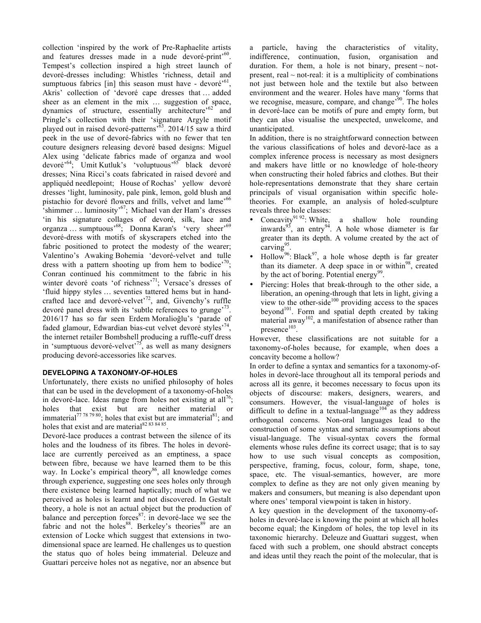collection 'inspired by the work of Pre-Raphaelite artists and features dresses made in a nude devoré-print<sup> $60$ </sup>. Tempest's collection inspired a high street launch of devoré-dresses including: Whistles 'richness, detail and sumptuous fabrics [in] this season must have - devoré<sup> $61$ </sup>, Akris' collection of 'devoré cape dresses that … added sheer as an element in the mix … suggestion of space, dynamics of structure, essentially architecture<sup>-62</sup> and Pringle's collection with their 'signature Argyle motif played out in raised devoré-patterns'63. 2014/15 saw a third peek in the use of devoré-fabrics with no fewer that ten couture designers releasing devoré based designs: Miguel Alex using 'delicate fabrics made of organza and wool devoré'64; Umit Kutluk's 'voluptuous'<sup>65</sup> black devoré dresses; Nina Ricci's coats fabricated in raised devoré and appliquéd needlepoint; House of Rochas' yellow devoré dresses 'light, luminosity, pale pink, lemon, gold blush and pistachio for devoré flowers and frills, velvet and lame'<sup>66</sup> 'shimmer ... luminosity'<sup>67</sup>; Michael van der Ham's dresses 'in his signature collages of devoré, silk, lace and organza … sumptuous'68; Donna Karan's 'very sheer'<sup>69</sup> devoré-dress with motifs of skyscrapers etched into the fabric positioned to protect the modesty of the wearer; Valentino's Awaking Bohemia 'devoré-velvet and tulle dress with a pattern shooting up from hem to bodice<sup> $70$ </sup>; Conran continued his commitment to the fabric in his winter devoré coats 'of richness'<sup>71</sup>; Versace's dresses of 'fluid hippy styles … seventies tattered hems but in handcrafted lace and devoré-velvet<sup> $72$ </sup>, and, Givenchy's ruffle devoré panel dress with its 'subtle references to grunge'<sup>73</sup>. 2016/17 has so far seen Erdem Moralioğlu's 'parade of faded glamour, Edwardian bias-cut velvet devoré styles<sup>57</sup> the internet retailer Bombshell producing a ruffle-cuff dress in 'sumptuous devoré-velvet'<sup>75</sup>, as well as many designers producing devoré-accessories like scarves.

# **DEVELOPING A TAXONOMY-OF-HOLES**

Unfortunately, there exists no unified philosophy of holes that can be used in the development of a taxonomy-of-holes in devoré-lace. Ideas range from holes not existing at all<sup>76</sup>; holes that exist but are neither material or immaterial<sup>77 78 79 80</sup>; holes that exist but are immaterial<sup>81</sup>; and holes that exist and are material<sup>82 83 84 85</sup>.

Devoré-lace produces a contrast between the silence of its holes and the loudness of its fibres. The holes in devorélace are currently perceived as an emptiness, a space between fibre, because we have learned them to be this way. In Locke's empirical theory $86$ , all knowledge comes through experience, suggesting one sees holes only through there existence being learned haptically; much of what we perceived as holes is learnt and not discovered. In Gestalt theory, a hole is not an actual object but the production of balance and perception forces $87$ : in devoré-lace we see the fabric and not the holes<sup>88</sup>. Berkeley's theories<sup>89</sup> are an extension of Locke which suggest that extensions in twodimensional space are learned. He challenges us to question the status quo of holes being immaterial. Deleuze and Guattari perceive holes not as negative, nor an absence but

a particle, having the characteristics of vitality, indifference, continuation, fusion, organisation and duration. For them, a hole is not binary, present  $\sim$  notpresent, real  $\sim$  not-real: it is a multiplicity of combinations not just between hole and the textile but also between environment and the wearer. Holes have many 'forms that we recognise, measure, compare, and change<sup>50</sup>. The holes in devoré-lace can be motifs of pure and empty form, but they can also visualise the unexpected, unwelcome, and unanticipated.

In addition, there is no straightforward connection between the various classifications of holes and devoré-lace as a complex inference process is necessary as most designers and makers have little or no knowledge of hole-theory when constructing their holed fabrics and clothes. But their hole-representations demonstrate that they share certain principals of visual organisation within specific holetheories. For example, an analysis of holed-sculpture reveals three hole classes:

- Concavity<sup>91 92</sup>: White, a shallow hole rounding inwards<sup>93</sup>, an entry<sup>94</sup>. A hole whose diameter is far greater than its depth. A volume created by the act of carving<sup>95</sup>.
- Hollow<sup>96</sup>: Black<sup>97</sup>, a hole whose depth is far greater than its diameter. A deep space in or within<sup>98</sup>, created by the act of boring. Potential energy<sup>99</sup>.
- Piercing: Holes that break-through to the other side, a liberation, an opening-through that lets in light, giving a view to the other-side $100$  providing access to the spaces beyond<sup>101</sup>. Form and spatial depth created by taking material away<sup>102</sup>, a manifestation of absence rather than  $p$ resence $^{103}$ .

However, these classifications are not suitable for a taxonomy-of-holes because, for example, when does a concavity become a hollow?

In order to define a syntax and semantics for a taxonomy-ofholes in devoré-lace throughout all its temporal periods and across all its genre, it becomes necessary to focus upon its objects of discourse: makers, designers, wearers, and consumers. However, the visual-language of holes is difficult to define in a textual-language<sup>104</sup> as they address orthogonal concerns. Non-oral languages lead to the construction of some syntax and sematic assumptions about visual-language. The visual-syntax covers the formal elements whose rules define its correct usage; that is to say how to use such visual concepts as composition, perspective, framing, focus, colour, form, shape, tone, space, etc. The visual-semantics, however, are more complex to define as they are not only given meaning by makers and consumers, but meaning is also dependant upon where ones' temporal viewpoint is taken in history.

A key question in the development of the taxonomy-ofholes in devoré-lace is knowing the point at which all holes become equal; the Kingdom of holes, the top level in its taxonomic hierarchy. Deleuze and Guattari suggest, when faced with such a problem, one should abstract concepts and ideas until they reach the point of the molecular, that is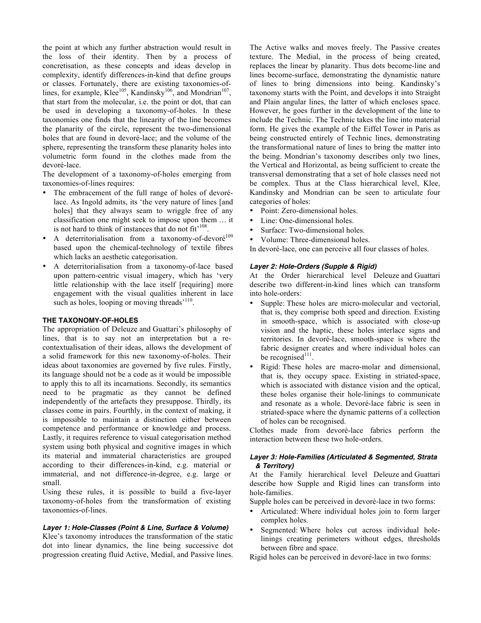the point at which any further abstraction would result in the loss of their identity. Then by a process of concretisation, as these concepts and ideas develop in complexity, identify differences-in-kind that define groups or classes. Fortunately, there are existing taxonomies-oflines, for example, Klee<sup>105</sup>, Kandinsky<sup>106</sup>, and Mondrian<sup>107</sup>, that start from the molecular, i.e. the point or dot, that can be used in developing a taxonomy-of-holes. In these taxonomies one finds that the linearity of the line becomes the planarity of the circle, represent the two-dimensional holes that are found in devoré-lace; and the volume of the sphere, representing the transform these planarity holes into volumetric form found in the clothes made from the devoré-lace.

The development of a taxonomy-of-holes emerging from taxonomies-of-lines requires:

- The embracement of the full range of holes of devorélace. As Ingold admits, its 'the very nature of lines [and holes] that they always seam to wriggle free of any classification one might seek to impose upon them … it is not hard to think of instances that do not fit'<sup>108</sup>.
- A deterritorialisation from a taxonomy-of-devoré $109$ based upon the chemical-technology of textile fibres which lacks an aesthetic categorisation.
- A deterritorialisation from a taxonomy-of-lace based upon pattern-centric visual imagery, which has 'very little relationship with the lace itself [requiring] more engagement with the visual qualities inherent in lace such as holes, looping or moving threads<sup>'110</sup>.

# **THE TAXONOMY-OF-HOLES**

The appropriation of Deleuze and Guattari's philosophy of lines, that is to say not an interpretation but a recontextualisation of their ideas, allows the development of a solid framework for this new taxonomy-of-holes. Their ideas about taxonomies are governed by five rules. Firstly, its language should not be a code as it would be impossible to apply this to all its incarnations. Secondly, its semantics need to be pragmatic as they cannot be defined independently of the artefacts they presuppose. Thirdly, its classes come in pairs. Fourthly, in the context of making, it is impossible to maintain a distinction either between competence and performance or knowledge and process. Lastly, it requires reference to visual categorisation method system using both physical and cognitive images in which its material and immaterial characteristics are grouped according to their differences-in-kind, e.g. material or immaterial, and not difference-in-degree, e.g. large or small.

Using these rules, it is possible to build a five-layer taxonomy-of-holes from the transformation of existing taxonomies-of-lines.

## *Layer 1: Hole-Classes (Point & Line, Surface & Volume)*

Klee's taxonomy introduces the transformation of the static dot into linear dynamics, the line being successive dot progression creating fluid Active, Medial, and Passive lines.

The Active walks and moves freely. The Passive creates texture. The Medial, in the process of being created, replaces the linear by planarity. Thus dots become-line and lines become-surface, demonstrating the dynamistic nature of lines to bring dimensions into being. Kandinsky's taxonomy starts with the Point, and develops it into Straight and Plain angular lines, the latter of which encloses space. However, he goes further in the development of the line to include the Technic. The Technic takes the line into material form. He gives the example of the Eiffel Tower in Paris as being constructed entirely of Technic lines, demonstrating the transformational nature of lines to bring the matter into the being. Mondrian's taxonomy describes only two lines, the Vertical and Horizontal, as being sufficient to create the transversal demonstrating that a set of hole classes need not be complex. Thus at the Class hierarchical level, Klee, Kandinsky and Mondrian can be seen to articulate four categories of holes:

- Point: Zero-dimensional holes.
- Line: One-dimensional holes.
- Surface: Two-dimensional holes.
- Volume: Three-dimensional holes.

In devoré-lace, one can perceive all four classes of holes.

## *Layer 2: Hole-Orders (Supple & Rigid)*

At the Order hierarchical level Deleuze and Guattari describe two different-in-kind lines which can transform into hole-orders:

- Supple: These holes are micro-molecular and vectorial, that is, they comprise both speed and direction. Existing in smooth-space, which is associated with close-up vision and the haptic, these holes interlace signs and territories. In devoré-lace, smooth-space is where the fabric designer creates and where individual holes can be recognised<sup>111</sup>.
- Rigid: These holes are macro-molar and dimensional, that is, they occupy space. Existing in striated-space, which is associated with distance vision and the optical, these holes organise their hole-linings to communicate and resonate as a whole. Devoré-lace fabric is seen in striated-space where the dynamic patterns of a collection of holes can be recognised.

Clothes made from devoré-lace fabrics perform the interaction between these two hole-orders.

#### *Layer 3: Hole-Families (Articulated & Segmented, Strata & Territory)*

At the Family hierarchical level Deleuze and Guattari describe how Supple and Rigid lines can transform into hole-families.

Supple holes can be perceived in devoré-lace in two forms:

- Articulated: Where individual holes join to form larger complex holes.
- Segmented: Where holes cut across individual holelinings creating perimeters without edges, thresholds between fibre and space.
- Rigid holes can be perceived in devoré-lace in two forms: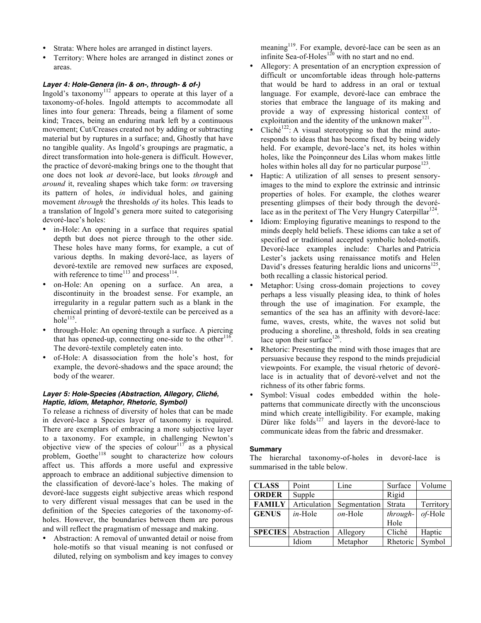- Strata: Where holes are arranged in distinct layers.
- Territory: Where holes are arranged in distinct zones or areas.

## *Layer 4: Hole-Genera (in- & on-, through- & of-)*

Ingold's taxonomy<sup>112</sup> appears to operate at this layer of a taxonomy-of-holes. Ingold attempts to accommodate all lines into four genera: Threads, being a filament of some kind; Traces, being an enduring mark left by a continuous movement; Cut/Creases created not by adding or subtracting material but by ruptures in a surface; and, Ghostly that have no tangible quality. As Ingold's groupings are pragmatic, a direct transformation into hole-genera is difficult. However, the practice of devoré-making brings one to the thought that one does not look *at* devoré-lace, but looks *through* and *around* it, revealing shapes which take form: *on* traversing its pattern of holes, *in* individual holes, and gaining movement *through* the thresholds *of* its holes. This leads to a translation of Ingold's genera more suited to categorising devoré-lace's holes:

- in-Hole: An opening in a surface that requires spatial depth but does not pierce through to the other side. These holes have many forms, for example, a cut of various depths. In making devoré-lace, as layers of devoré-textile are removed new surfaces are exposed, with reference to time<sup>113</sup> and process<sup>114</sup>.
- on-Hole: An opening on a surface. An area, a discontinuity in the broadest sense. For example, an irregularity in a regular pattern such as a blank in the chemical printing of devoré-textile can be perceived as a hole $^{115}$ .
- through-Hole: An opening through a surface. A piercing that has opened-up, connecting one-side to the other<sup>116</sup>. The devoré-textile completely eaten into.
- of-Hole: A disassociation from the hole's host, for example, the devoré-shadows and the space around; the body of the wearer.

## *Layer 5: Hole-Species (Abstraction, Allegory, Cliché, Haptic, Idiom, Metaphor, Rhetoric, Symbol)*

To release a richness of diversity of holes that can be made in devoré-lace a Species layer of taxonomy is required. There are exemplars of embracing a more subjective layer to a taxonomy. For example, in challenging Newton's objective view of the species of colour<sup>117</sup> as a physical problem, Goethe<sup>118</sup> sought to characterize how colours affect us. This affords a more useful and expressive approach to embrace an additional subjective dimension to the classification of devoré-lace's holes. The making of devoré-lace suggests eight subjective areas which respond to very different visual messages that can be used in the definition of the Species categories of the taxonomy-ofholes. However, the boundaries between them are porous and will reflect the pragmatism of message and making.

Abstraction: A removal of unwanted detail or noise from hole-motifs so that visual meaning is not confused or diluted, relying on symbolism and key images to convey

meaning<sup>119</sup>. For example, devoré-lace can be seen as an infinite Sea-of-Holes<sup>120</sup> with no start and no end.

- Allegory: A presentation of an encryption expression of difficult or uncomfortable ideas through hole-patterns that would be hard to address in an oral or textual language. For example, devoré-lace can embrace the stories that embrace the language of its making and provide a way of expressing historical context of exploitation and the identity of the unknown maker $^{121}$ .
- $Cliché<sup>122</sup>: A visual stereotyping so that the mind auto$ responds to ideas that has become fixed by being widely held. For example, devoré-lace's net, its holes within holes, like the Poinçonneur des Lilas whom makes little holes within holes all day for no particular purpose<sup>123</sup>.
- Haptic: A utilization of all senses to present sensoryimages to the mind to explore the extrinsic and intrinsic properties of holes. For example, the clothes wearer presenting glimpses of their body through the devorélace as in the peritext of The Very Hungry Caterpillar<sup>124</sup>.
- Idiom: Employing figurative meanings to respond to the minds deeply held beliefs. These idioms can take a set of specified or traditional accepted symbolic holed-motifs. Devoré-lace examples include: Charles and Patricia Lester's jackets using renaissance motifs and Helen David's dresses featuring heraldic lions and unicorns<sup>125</sup>, both recalling a classic historical period.
- Metaphor: Using cross-domain projections to covey perhaps a less visually pleasing idea, to think of holes through the use of imagination. For example, the semantics of the sea has an affinity with devoré-lace: fume, waves, crests, white, the waves not solid but producing a shoreline, a threshold, folds in sea creating lace upon their surface  $126$ .
- Rhetoric: Presenting the mind with those images that are persuasive because they respond to the minds prejudicial viewpoints. For example, the visual rhetoric of devorélace is in actuality that of devoré-velvet and not the richness of its other fabric forms.
- Symbol: Visual codes embedded within the holepatterns that communicate directly with the unconscious mind which create intelligibility. For example, making Dürer like folds $127$  and layers in the devoré-lace to communicate ideas from the fabric and dressmaker.

#### **Summary**

The hierarchal taxonomy-of-holes in devoré-lace is summarised in the table below.

| <b>CLASS</b>   | Point        | Line         | Surface  | Volume    |
|----------------|--------------|--------------|----------|-----------|
| <b>ORDER</b>   | Supple       |              | Rigid    |           |
| <b>FAMILY</b>  | Articulation | Segmentation | Strata   | Territory |
| <b>GENUS</b>   | $in$ -Hole   | $on$ -Hole   | through- | of-Hole   |
|                |              |              | Hole     |           |
| <b>SPECIES</b> | Abstraction  | Allegory     | Cliché   | Haptic    |
|                | Idiom        | Metaphor     | Rhetoric | Symbol    |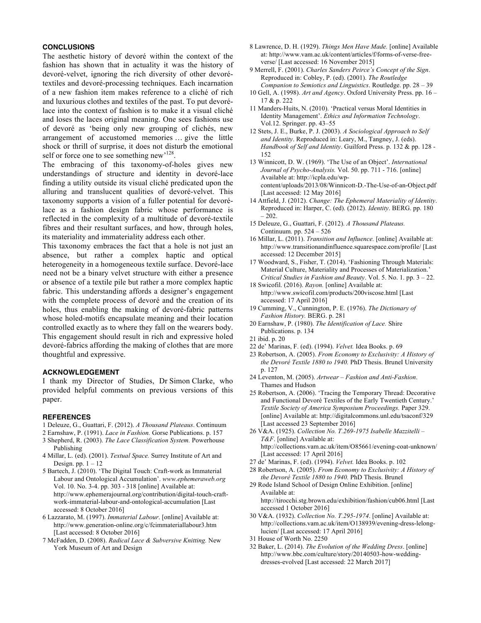# **CONCLUSIONS**

The aesthetic history of devoré within the context of the fashion has shown that in actuality it was the history of devoré-velvet, ignoring the rich diversity of other devorétextiles and devoré-processing techniques. Each incarnation of a new fashion item makes reference to a cliché of rich and luxurious clothes and textiles of the past. To put devorélace into the context of fashion is to make it a visual cliché and loses the laces original meaning. One sees fashions use of devoré as 'being only new grouping of clichés, new arrangement of accustomed memories … give the little shock or thrill of surprise, it does not disturb the emotional self or force one to see something new<sup>128</sup>.

The embracing of this taxonomy-of-holes gives new understandings of structure and identity in devoré-lace finding a utility outside its visual cliché predicated upon the alluring and translucent qualities of devoré-velvet. This taxonomy supports a vision of a fuller potential for devorélace as a fashion design fabric whose performance is reflected in the complexity of a multitude of devoré-textile fibres and their resultant surfaces, and how, through holes, its materiality and immateriality address each other.

This taxonomy embraces the fact that a hole is not just an absence, but rather a complex haptic and optical heterogeneity in a homogeneous textile surface. Devoré-lace need not be a binary velvet structure with either a presence or absence of a textile pile but rather a more complex haptic fabric. This understanding affords a designer's engagement with the complete process of devoré and the creation of its holes, thus enabling the making of devoré-fabric patterns whose holed-motifs encapsulate meaning and their location controlled exactly as to where they fall on the wearers body. This engagement should result in rich and expressive holed devoré-fabrics affording the making of clothes that are more thoughtful and expressive.

## **ACKNOWLEDGEMENT**

I thank my Director of Studies, Dr Simon Clarke, who provided helpful comments on previous versions of this paper.

#### **REFERENCES**

- 1 Deleuze, G., Guattari, F. (2012). *A Thousand Plateaus*. Continuum
- 2 Earnshaw, P. (1991). *Lace in Fashion.* Gorse Publications. p. 157
- 3 Shepherd, R. (2003). *The Lace Classification System.* Powerhouse Publishing
- 4 Millar, L. (ed). (2001). *Textual Space.* Surrey Institute of Art and Design. pp.  $1 - 12$
- 5 Bartech, J. (2010). 'The Digital Touch: Craft-work as Immaterial Labour and Ontological Accumulation'. *www.ephemeraweb.org* Vol. 10. No. 3-4. pp. 303 - 318 [online] Available at: http://www.ephemerajournal.org/contribution/digital-touch-craftwork-immaterial-labour-and-ontological-accumulation [Last accessed: 8 October 2016]
- 6 Lazzarato, M. (1997). *Immaterial Labour*. [online] Available at: http://www.generation-online.org/c/fcimmateriallabour3.htm [Last accessed: 8 October 2016]
- 7 McFadden, D. (2008). *Radical Lace & Subversive Knitting.* New York Museum of Art and Design
- 8 Lawrence, D. H. (1929). *Things Men Have Made.* [online] Available at: http://www.vam.ac.uk/content/articles/f/forms-of-verse-freeverse/ [Last accessed: 16 November 2015]
- 9 Merrell, F. (2001). *Charles Sanders Peirce's Concept of the Sign*. Reproduced in: Cobley, P. (ed). (2001). *The Routledge Companion to Semiotics and Linguistics*. Routledge. pp. 28 – 39
- 10 Gell, A. (1998). *Art and Agency*. Oxford University Press. pp. 16 17 & p. 222
- 11 Manders-Huits, N. (2010). 'Practical versus Moral Identities in Identity Management'. *Ethics and Information Technology*. Vol.12. Springer. pp. 43–55
- 12 Stets, J. E., Burke, P. J. (2003). *A Sociological Approach to Self and Identity*. Reproduced in: Leary, M., Tangney, J. (eds). *Handbook of Self and Identity*. Guilford Press. p. 132 & pp. 128 - 152
- 13 Winnicott, D. W. (1969). 'The Use of an Object'. *International Journal of Psycho-Analysis.* Vol. 50. pp. 711 - 716. [online] Available at: http://icpla.edu/wpcontent/uploads/2013/08/Winnicott-D.-The-Use-of-an-Object.pdf [Last accessed: 12 May 2016]
- 14 Attfield, J. (2012). *Change: The Ephemeral Materiality of Identity*. Reproduced in: Harper, C. (ed). (2012). *Identity*. BERG. pp. 180  $-202.$
- 15 Deleuze, G., Guattari, F. (2012). *A Thousand Plateaus.* Continuum. pp. 524 – 526
- 16 Millar, L. (2011). *Transition and Influence.* [online] Available at: http://www.transitionandinfluence.squarespace.com/profile/ [Last accessed: 12 December 2015]
- 17 Woodward, S., Fisher, T. (2014). 'Fashioning Through Materials: Material Culture, Materiality and Processes of Materialization.' *Critical Studies in Fashion and Beauty*. Vol. 5. No. 1. pp. 3 – 22.
- 18 Swicofil. (2016). *Rayon.* [online] Available at: http://www.swicofil.com/products/200viscose.html [Last accessed: 17 April 2016]
- 19 Cumming, V., Cunnington, P. E. (1976). *The Dictionary of Fashion History.* BERG. p. 281
- 20 Earnshaw, P. (1980). *The Identification of Lace.* Shire Publications. p. 134
- 21 ibid. p. 20
- 22 de' Marinas, F. (ed). (1994). *Velvet.* Idea Books. p. 69
- 23 Robertson, A. (2005). *From Economy to Exclusivity: A History of the Devoré Textile 1880 to 1940.* PhD Thesis. BruneI University p. 127
- 24 Leventon, M. (2005). *Artwear – Fashion and Anti-Fashion*. Thames and Hudson
- 25 Robertson, A. (2006). 'Tracing the Temporary Thread: Decorative and Functional Devoré Textiles of the Early Twentieth Century.' *Textile Society of America Symposium Proceedings.* Paper 329. [online] Available at: http://digitalcommons.unl.edu/tsaconf/329 [Last accessed 23 September 2016]
- 26 V&A. (1925). *Collection No. T.269-1975 Isabelle Mazzitelli – T&F*. [online] Available at: http://collections.vam.ac.uk/item/O85661/evening-coat-unknown/ [Last accessed: 17 April 2016]
- 27 de' Marinas, F. (ed). (1994). *Velvet.* Idea Books. p. 102
- 28 Robertson, A. (2005). *From Economy to Exclusivity: A History of the Devoré Textile 1880 to 1940.* PhD Thesis. BruneI
- 29 Rode Island School of Design Online Exhibition. [online] Available at: http://tirocchi.stg.brown.edu/exhibition/fashion/cub06.html [Last
- accessed 1 October 2016] 30 V&A. (1932). *Collection No. T.295-1974*. [online] Available at:
- http://collections.vam.ac.uk/item/O138939/evening-dress-lelonglucien/ [Last accessed: 17 April 2016]
- 31 House of Worth No. 2250
- 32 Baker, L. (2014). *The Evolution of the Wedding Dress*. [online] http://www.bbc.com/culture/story/20140503-how-weddingdresses-evolved [Last accessed: 22 March 2017]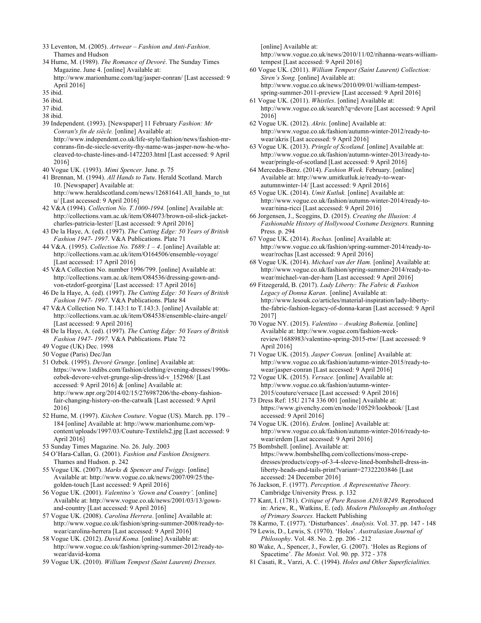- 33 Leventon, M. (2005). *Artwear – Fashion and Anti-Fashion*. Thames and Hudson
- 34 Hume, M. (1989). *The Romance of Devoré*. The Sunday Times Magazine. June 4. [online] Available at: http://www.marionhume.com/tag/jasper-conran/ [Last accessed: 9 April 2016]
- 35 ibid.
- 36 ibid.
- 37 ibid.
- 38 ibid.
- 39 Independent. (1993). [Newspaper] 11 February *Fashion: Mr Conran's fin de siècle.* [online] Available at: http://www.independent.co.uk/life-style/fashion/news/fashion-mrconrans-fin-de-siecle-severity-thy-name-was-jasper-now-he-whocleaved-to-chaste-lines-and-1472203.html [Last accessed: 9 April 2016]
- 40 Vogue UK. (1993). *Mimi Spencer.* June. p. 75
- 41 Brennan, M. (1994). *All Hands to Tutu*. Herald Scotland. March 10. [Newspaper] Available at: http://www.heraldscotland.com/news/12681641.All\_hands\_to\_tut u/ [Last accessed: 9 April 2016]
- 42 V&A (1994). *Collection No. T.1000-1994.* [online] Available at: http://collections.vam.ac.uk/item/O84073/brown-oil-slick-jacketcharles-patricia-lester/ [Last accessed: 9 April 2016]
- 43 De la Haye, A. (ed). (1997). *The Cutting Edge: 50 Years of British Fashion 1947- 1997*. V&A Publications. Plate 71
- 44 V&A. (1995). *Collection No. T689:1 – 4*. [online] Available at: http://collections.vam.ac.uk/item/O164506/ensemble-voyage/ [Last accessed: 17 April 2016]
- 45 V&A Collection No. number 1996/799. [online] Available at: http://collections.vam.ac.uk/item/O84536/dressing-gown-andvon-etzdorf-georgina/ [Last accessed: 17 April 2016]
- 46 De la Haye, A. (ed). (1997). *The Cutting Edge: 50 Years of British Fashion 1947- 1997*. V&A Publications. Plate 84
- 47 V&A Collection No. T.143:1 to T.143:3. [online] Available at: http://collections.vam.ac.uk/item/O84538/ensemble-claire-angel/ [Last accessed: 9 April 2016]
- 48 De la Haye, A. (ed). (1997). *The Cutting Edge: 50 Years of British Fashion 1947- 1997.* V&A Publications. Plate 72
- 49 Vogue (UK) Dec. 1998
- 50 Vogue (Paris) Dec/Jan
- 51 Ozbek. (1995). *Devoré Grunge*. [online] Available at: https://www.1stdibs.com/fashion/clothing/evening-dresses/1990sozbek-devore-velvet-grunge-slip-dress/id-v\_152968/ [Last accessed: 9 April 2016] & [online] Available at: http://www.npr.org/2014/02/15/276987206/the-ebony-fashionfair-changing-history-on-the-catwalk [Last accessed: 9 April 2016]
- 52 Hume, M. (1997). *Kitchen Couture*. Vogue (US). March. pp. 179 184 [online] Available at: http://www.marionhume.com/wpcontent/uploads/1997/03/Couture-Textilels2.jpg [Last accessed: 9 April 2016]
- 53 Sunday Times Magazine. No. 26. July. 2003
- 54 O'Hara-Callan, G. (2001). *Fashion and Fashion Designers.* Thames and Hudson. p. 242
- 55 Vogue UK. (2007). *Marks & Spencer and Twiggy*. [online] Available at: http://www.vogue.co.uk/news/2007/09/25/thegolden-touch [Last accessed: 9 April 2016]
- 56 Vogue UK. (2001). *Valentino's 'Gown and Country'.* [online] Available at: http://www.vogue.co.uk/news/2001/03/13/gownand-country [Last accessed: 9 April 2016]
- 57 Vogue UK. (2008). *Carolina Herrera*. [online] Available at: http://www.vogue.co.uk/fashion/spring-summer-2008/ready-towear/carolina-herrera [Last accessed: 9 April 2016]
- 58 Vogue UK. (2012). *David Koma.* [online] Available at: http://www.vogue.co.uk/fashion/spring-summer-2012/ready-towear/david-koma
- 59 Vogue UK. (2010). *William Tempest (Saint Laurent) Dresses.*

[online] Available at:

http://www.vogue.co.uk/news/2010/11/02/rihanna-wears-williamtempest [Last accessed: 9 April 2016]

- 60 Vogue UK. (2011). *William Tempest (Saint Laurent) Collection: Siren's Song.* [online] Available at: http://www.vogue.co.uk/news/2010/09/01/william-tempestspring-summer-2011-preview [Last accessed: 9 April 2016]
- 61 Vogue UK. (2011). *Whistles*. [online] Available at: http://www.vogue.co.uk/search?q=devore [Last accessed: 9 April 2016]
- 62 Vogue UK. (2012). *Akris.* [online] Available at: http://www.vogue.co.uk/fashion/autumn-winter-2012/ready-towear/akris [Last accessed: 9 April 2016]
- 63 Vogue UK. (2013). *Pringle of Scotland.* [online] Available at: http://www.vogue.co.uk/fashion/autumn-winter-2013/ready-towear/pringle-of-scotland [Last accessed: 9 April 2016]
- 64 Mercedes-Benz. (2014). *Fashion Week.* February. [online] Available at: http://www.umitkutluk.ie/ready-to-wearautumnwinter-14/ [Last accessed: 9 April 2016]
- 65 Vogue UK. (2014). *Umit Kutluk.* [online] Available at: http://www.vogue.co.uk/fashion/autumn-winter-2014/ready-towear/nina-ricci [Last accessed: 9 April 2016]
- 66 Jorgensen, J., Scoggins, D. (2015). *Creating the Illusion: A Fashionable History of Hollywood Costume Designers.* Running Press. p. 294
- 67 Vogue UK. (2014). *Rochas.* [online] Available at: http://www.vogue.co.uk/fashion/spring-summer-2014/ready-towear/rochas [Last accessed: 9 April 2016]
- 68 Vogue UK. (2014). *Michael van der Ham.* [online] Available at: http://www.vogue.co.uk/fashion/spring-summer-2014/ready-towear/michael-van-der-ham [Last accessed: 9 April 2016]
- 69 Fitzegerald, B. (2017). *Lady Liberty: The Fabric & Fashion Legacy of Donna Karan*. [online] Available at: http://www.lesouk.co/articles/material-inspiration/lady-libertythe-fabric-fashion-legacy-of-donna-karan [Last accessed: 9 April 2017]
- 70 Vogue NY. (2015). *Valentino – Awaking Bohemia*. [online] Available at: http://www.vogue.com/fashion-weekreview/1688983/valentino-spring-2015-rtw/ [Last accessed: 9 April 2016]
- 71 Vogue UK. (2015). *Jasper Conran.* [online] Available at: http://www.vogue.co.uk/fashion/autumn-winter-2015/ready-towear/jasper-conran [Last accessed: 9 April 2016]
- 72 Vogue UK. (2015). *Versace.* [online] Available at: http://www.vogue.co.uk/fashion/autumn-winter-2015/couture/versace [Last accessed: 9 April 2016]
- 73 Dress Ref: 15U 2174 336 001 [online] Available at: https://www.givenchy.com/en/node/10529/lookbook/ [Last accessed: 9 April 2016]
- 74 Vogue UK. (2016). *Erdem.* [online] Available at: http://www.vogue.co.uk/fashion/autumn-winter-2016/ready-towear/erdem [Last accessed: 9 April 2016]
- 75 Bombshell. [online]. Available at: https://www.bombshellhq.com/collections/moss-crepedresses/products/copy-of-3-4-sleeve-lined-bombshell-dress-inliberty-heads-and-tails-print?variant=27322203846 [Last accessed: 24 December 2016]
- 76 Jackson, F. (1977). *Perception. A Representative Theory.* Cambridge University Press. p. 132
- 77 Kant, I. (1781). *Critique of Pure Reason A203/B249.* Reproduced in: Ariew, R., Watkins, E. (ed). *Modern Philosophy an Anthology of Primary Sources.* Hackett Publishing
- 78 Karmo, T. (1977). 'Disturbances'*. Analysis.* Vol. 37. pp. 147 148
- 79 Lewis, D., Lewis, S. (1970). 'Holes'. *Australasian Journal of Philosophy*. Vol. 48. No. 2. pp. 206 - 212
- 80 Wake, A., Spencer, J., Fowler, G. (2007). 'Holes as Regions of Spacetime'*. The Monist.* Vol. 90. pp. 372 - 378
- 81 Casati, R., Varzi, A. C. (1994). *Holes and Other Superficialities.*